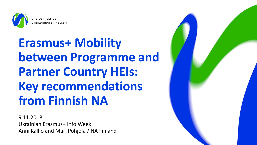

# **Erasmus+ Mobility between Programme and Partner Country HEIs: Key recommendations from Finnish NA**

9.11.2018 Ukrainian Erasmus+ Info Week Anni Kallio and Mari Pohjola / NA Finland

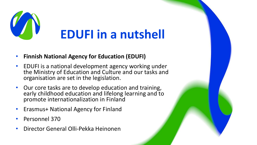

#### • **Finnish National Agency for Education (EDUFI)**

- EDUFI is a national development agency working under the Ministry of Education and Culture and our tasks and organisation are set in the legislation.
- Our core tasks are to develop education and training, early childhood education and lifelong learning and to promote internationalization in Finland
- Erasmus+ National Agency for Finland
- Personnel 370
- Director General Olli-Pekka Heinonen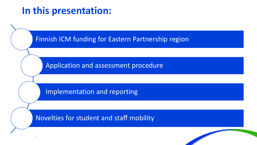#### **In this presentation:**

Finnish ICM funding for Eastern Partnership region

Application and assessment procedure

Implementation and reporting

Novelties for student and staff mobility

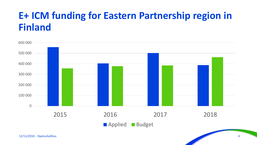#### **E+ ICM funding for Eastern Partnership region in Finland**

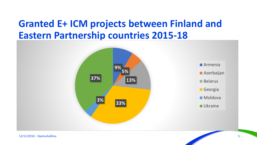#### **Granted E+ ICM projects between Finland and Eastern Partnership countries 2015-18**

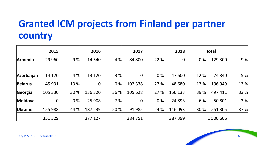#### **Granted ICM projects from Finland per partner country**

|                | 2015        |      | 2016             |      | 2017             |      | 2018        |      | Total     |      |
|----------------|-------------|------|------------------|------|------------------|------|-------------|------|-----------|------|
| Armenia        | 29 9 60     | 9%   | 14 540           | 4 %  | 84 800           | 22 % | $\mathbf 0$ | 0%   | 129 300   | 9%   |
| Azerbaijan     | 14 120      | 4 %  | 13 120           | 3 %  | $\boldsymbol{0}$ | 0%   | 47 600      | 12 % | 74 840    | 5 %  |
| <b>Belarus</b> | 45 931      | 13 % | $\boldsymbol{0}$ | 0%   | 102 338          | 27 % | 48 680      | 13 % | 196 949   | 13 % |
| Georgia        | 105 330     | 30 % | 136 320          | 36 % | 105 628          | 27 % | 150 133     | 39 % | 497 411   | 33 % |
| Moldova        | $\mathbf 0$ | 0%   | 25 908           | 7%   | $\boldsymbol{0}$ | 0%   | 24 8 93     | 6 %  | 50 801    | 3 %  |
| Ukraine        | 155 988     | 44 % | 187 239          | 50 % | 91 985           | 24 % | 116 093     | 30 % | 551 305   | 37 % |
|                | 351 329     |      | 377 127          |      | 384 751          |      | 387 399     |      | 1 500 606 |      |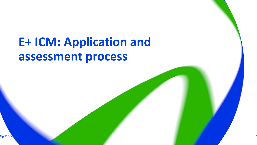# **E+ ICM: Application and assessment process**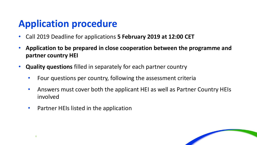#### **Application procedure**

- Call 2019 Deadline for applications **5 February 2019 at 12:00 CET**
- **Application to be prepared in close cooperation between the programme and partner country HEI**
- **Quality questions** filled in separately for each partner country
	- Four questions per country, following the assessment criteria
	- Answers must cover both the applicant HEI as well as Partner Country HEIs involved
	- Partner HEIs listed in the application

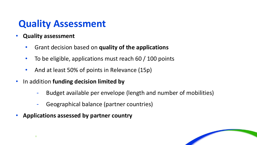#### **Quality Assessment**

- **Quality assessment**
	- Grant decision based on **quality of the applications**
	- To be eligible, applications must reach 60 / 100 points
	- And at least 50% of points in Relevance (15p)
- In addition **funding decision limited by**
	- Budget available per envelope (length and number of mobilities)
	- Geographical balance (partner countries)
- **Applications assessed by partner country**

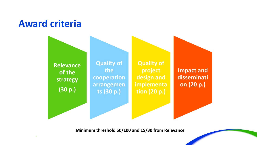#### **Award criteria**



**Minimum threshold 60/100 and 15/30 from Relevance**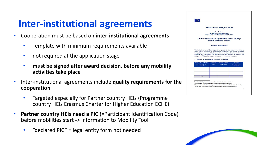#### **Inter-institutional agreements**

- Cooperation must be based on **inter-institutional agreements**
	- Template with minimum requirements available
	- not required at the application stage
	- **must be signed after award decision, before any mobility activities take place**
- Inter-institutional agreements include **quality requirements for the cooperation**
	- Targeted especially for Partner country HEIs (Programme country HEIs Erasmus Charter for Higher Education ECHE)
- **Partner country HEIs need a PIC** (=Participant Identification Code) before mobilities start -> Information to Mobility Tool
	- "declared PIC" = legal entity form not needed



Inter-institutional agreements can be signed by two or more higher education institution Higher Education Institutions have to agree on the period of validity of this agreement Clauses may be added to this template agreement to better reflect the nature of the institutional partnership Contact details to reach the senior officer in charge of this agreement and of its possible updates

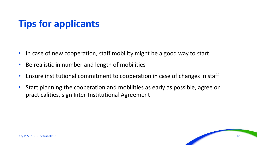#### **Tips for applicants**

- In case of new cooperation, staff mobility might be a good way to start
- Be realistic in number and length of mobilities
- Ensure institutional commitment to cooperation in case of changes in staff
- Start planning the cooperation and mobilities as early as possible, agree on practicalities, sign Inter-Institutional Agreement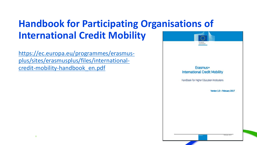### **Handbook for Participating Organisations of International Credit Mobility**

[https://ec.europa.eu/programmes/erasmus](https://ec.europa.eu/programmes/erasmus-plus/sites/erasmusplus/files/international-credit-mobility-handbook_en.pdf)plus/sites/erasmusplus/files/internationalcredit-mobility-handbook en.pdf

Frasmus+ **International Credit Mobility** Handbook for Higher Education Institutions Version 1.0 - February 2017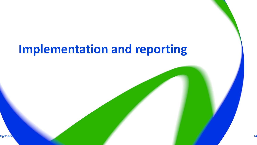# **Implementation and reporting**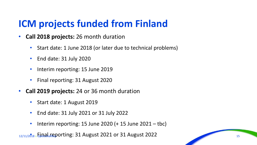### **ICM projects funded from Finland**

- **Call 2018 projects:** 26 month duration
	- Start date: 1 June 2018 (or later due to technical problems)
	- End date: 31 July 2020
	- Interim reporting: 15 June 2019
	- Final reporting: 31 August 2020
- **Call 2019 projects:** 24 or 36 month duration
	- Start date: 1 August 2019
	- End date: 31 July 2021 or 31 July 2022
	- Interim reporting: 15 June 2020 ( $+$  15 June 2021 tbc)

12/11/2018 • Final Opetushallitus reporting: 31 August 2021 or 31 August 2022 <sup>15</sup>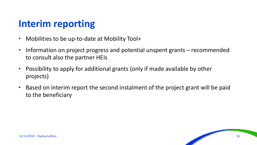#### **Interim reporting**

- Mobilities to be up-to-date at Mobility Tool+
- Information on project progress and potential unspent grants recommended to consult also the partner HEIs
- Possibility to apply for additional grants (only if made available by other projects)
- Based on interim report the second instalment of the project grant will be paid to the beneficiary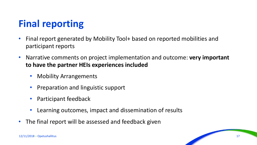### **Final reporting**

- Final report generated by Mobility Tool+ based on reported mobilities and participant reports
- Narrative comments on project implementation and outcome: **very important to have the partner HEIs experiences included**
	- Mobility Arrangements
	- Preparation and linguistic support
	- Participant feedback
	- Learning outcomes, impact and dissemination of results
- The final report will be assessed and feedback given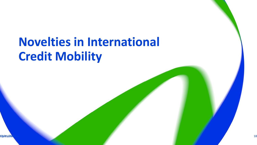# **Novelties in International Credit Mobility**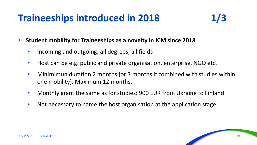#### **Traineeships introduced in 2018 1/3**



- **Student mobility for Traineeships as a novelty in ICM since 2018**
	- Incoming and outgoing, all degrees, all fields
	- Host can be e.g. public and private organisation, enterprise, NGO etc.
	- Minimimun duration 2 months (or 3 months if combined with studies within one mobility). Maximum 12 months.
	- Monthly grant the same as for studies: 900 EUR from Ukraine to Finland
	- Not necessary to name the host organisation at the application stage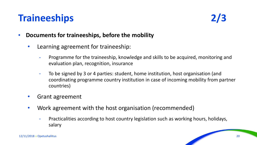#### **Traineeships**



- **Documents for traineeships, before the mobility**
	- Learning agreement for traineeship:
		- Programme for the traineeship, knowledge and skills to be acquired, monitoring and evaluation plan, recognition, insurance
		- To be signed by 3 or 4 parties: student, home institution, host organisation (and coordinating programme country institution in case of incoming mobility from partner countries)
	- Grant agreement
	- Work agreement with the host organisation (recommended)
		- Practicalities according to host country legislation such as working hours, holidays, salary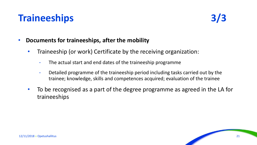#### **Traineeships 3/3**



- **Documents for traineeships, after the mobility**
	- Traineeship (or work) Certificate by the receiving organization:
		- The actual start and end dates of the traineeship programme
		- Detailed programme of the traineeship period including tasks carried out by the trainee; knowledge, skills and competences acquired; evaluation of the trainee
	- To be recognised as a part of the degree programme as agreed in the LA for traineeships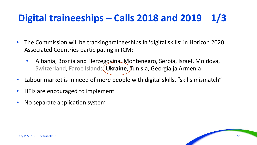### **Digital traineeships – Calls 2018 and 2019 1/3**

- The Commission will be tracking traineeships in 'digital skills' in Horizon 2020 Associated Countries participating in ICM:
	- Albania, Bosnia and Herzegovina, Montenegro, Serbia, Israel, Moldova, Switzerland, Faroe Islands, **Ukraine**, Tunisia, Georgia ja Armenia
- Labour market is in need of more people with digital skills, "skills mismatch"
- HEIs are encouraged to implement
- No separate application system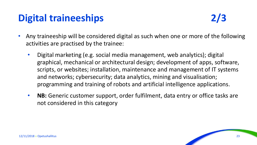### **Digital traineeships**

- Any traineeship will be considered digital as such when one or more of the following activities are practised by the trainee:
	- Digital marketing (e.g. social media management, web analytics); digital graphical, mechanical or architectural design; development of apps, software, scripts, or websites; installation, maintenance and management of IT systems and networks; cybersecurity; data analytics, mining and visualisation; programming and training of robots and artificial intelligence applications.
	- **NB:** Generic customer support, order fulfilment, data entry or office tasks are not considered in this category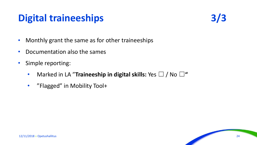### **Digital traineeships 3/3**



- Monthly grant the same as for other traineeships
- Documentation also the sames
- Simple reporting:
	- Marked in LA "**Traineeship in digital skills:** Yes ☐ / No ☐**"**
	- "Flagged" in Mobility Tool+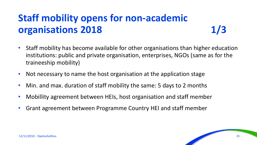## **Staff mobility opens for non-academic organisations 2018 1/3**

- Staff mobility has become available for other organisations than higher education institutions: public and private organisation, enterprises, NGOs (same as for the traineeship mobility)
- Not necessary to name the host organisation at the application stage
- Min. and max. duration of staff mobility the same: 5 days to 2 months
- Mobillity agreement between HEIs, host organisation and staff member
- Grant agreement between Programme Country HEI and staff member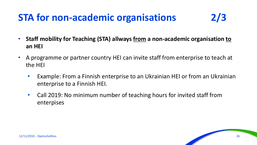#### **STA for non-academic organisations 2/3**

- **Staff mobility for Teaching (STA) allways from a non-academic organisation to an HEI**
- A programme or partner country HEI can invite staff from enterprise to teach at the HEI
	- Example: From a Finnish enterprise to an Ukrainian HEI or from an Ukrainian enterprise to a Finnish HEI.
	- Call 2019: No minimum number of teaching hours for invited staff from enterpises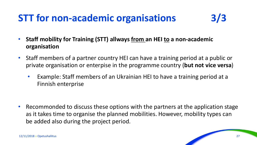#### **STT for non-academic organisations 3/3**

- **Staff mobility for Training (STT) allways from an HEI to a non-academic organisation**
- Staff members of a partner country HEI can have a training period at a public or private organisation or enterpise in the programme country (**but not vice versa**)
	- Example: Staff members of an Ukrainian HEI to have a training period at a Finnish enterprise

• Recommonded to discuss these options with the partners at the application stage as it takes time to organise the planned mobilities. However, mobility types can be added also during the project period.